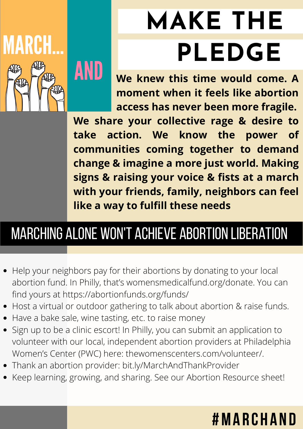

## **MAKE THE PLEDGE**

**We knew this time would come. A moment when it feels like abortion access has never been more fragile.**

**We share your collective rage & desire to take action. We know the power of communities coming together to demand change & imagine a more just world. Making signs & raising your voice & fists at a march with your friends, family, neighbors can feel like a way to fulfill these needs**

## marching alone won't achieve abortion liberation

- Help your neighbors pay for their abortions by donating to your local abortion fund. In Philly, that's womensmedicalfund.org/donate. You can find yours at https://abortionfunds.org/funds/
- Host a virtual or outdoor gathering to talk about abortion & raise funds.
- Have a bake sale, wine tasting, etc. to raise money
- Sign up to be a clinic escort! In Philly, you can submit an application to volunteer with our local, independent abortion providers at Philadelphia Women's Center (PWC) here: [thewomenscenters.com/volunteer/](https://www.thewomenscenters.com/volunteer/).
- Thank an abortion provider: bit.ly/MarchAndThankProvider
- Keep learning, growing, and sharing. See our Abortion Resource sheet!

## **#Ma r c h A n d**